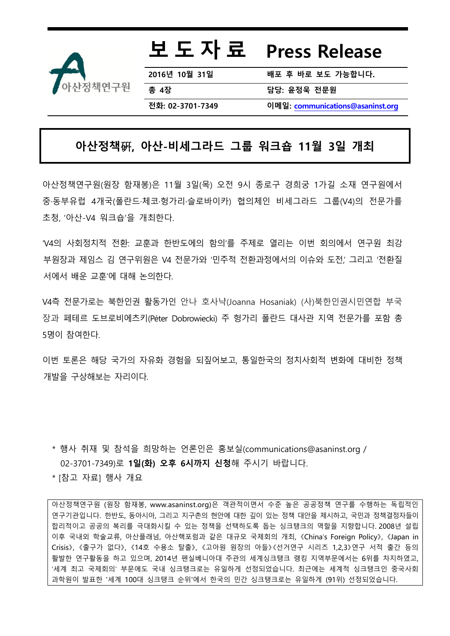

# 보 도 자 료 Press Release

2016년 10월 31일 배포 후 바로 보도 가능합니다**.** 총 4장 기업 기업 기업 대표 대표 담당: 윤정욱 전문원

전화: 02-3701-7349 이메일: [communications@asaninst.org](mailto:communications@asaninst.org)

### 아산정책硏, 아산-비세그라드 그룹 워크숍 11월 3일 개최

아산정책연구원(원장 함재봉)은 11월 3일(목) 오전 9시 종로구 경희궁 1가길 소재 연구원에서 중·동부유럽 4개국(폴란드·체코·헝가리·슬로바이카) 협의체인 비세그라드 그룹(V4)의 전문가를 초청, '아산-V4 워크숍'을 개최한다.

'V4의 사회정치적 전환: 교훈과 한반도에의 함의'를 주제로 열리는 이번 회의에서 연구원 최강 부원장과 제임스 김 연구위원은 V4 전문가와 '민주적 전환과정에서의 이슈와 도전,' 그리고 '전환질 서에서 배운 교훈'에 대해 논의한다.

V4측 전문가로는 북한인권 활동가인 안나 호사냑(Joanna Hosaniak) (사)북한인권시민연합 부국 장과 페테르 도브로비에츠키(Péter Dobrowiecki) 주 헝가리 폴란드 대사관 지역 전문가를 포함 총 5명이 참여한다.

이번 토론은 해당 국가의 자유화 경험을 되짚어보고, 통일한국의 정치사회적 변화에 대비한 정책 개발을 구상해보는 자리이다.

\* 행사 취재 및 참석을 희망하는 언론인은 홍보실(communications@asaninst.org / 02-3701-7349)로 1일(화) 오후 6시까지 신청해 주시기 바랍니다.

\* [참고 자료] 행사 개요

아산정책연구원 (원장 함재봉, www.asaninst.org)은 객관적이면서 수준 높은 공공정책 연구를 수행하는 독립적인 연구기관입니다. 한반도, 동아시아, 그리고 지구촌의 현안에 대한 깊이 있는 정책 대안을 제시하고, 국민과 정책결정자들이 합리적이고 공공의 복리를 극대화시킬 수 있는 정책을 선택하도록 돕는 싱크탱크의 역할을 지향합니다. 2008년 설립 이후 국내외 학술교류, 아산플래넘, 아산핵포럼과 같은 대규모 국제회의 개최, 《China's Foreign Policy》, 《Japan in Crisis》, 《출구가 없다》, 《14호 수용소 탈출》, 《고아원 원장의 아들》《선거연구 시리즈 1,2,3》연구 서적 출간 등의 활발한 연구활동을 하고 있으며, 2014년 펜실베니아대 주관의 세계싱크탱크 랭킹 지역부문에서는 6위를 차지하였고, '세계 최고 국제회의' 부문에도 국내 싱크탱크로는 유일하게 선정되었습니다. 최근에는 세계적 싱크탱크인 중국사회 과학원이 발표한 '세계 100대 싱크탱크 순위'에서 한국의 민간 싱크탱크로는 유일하게 (91위) 선정되었습니다.